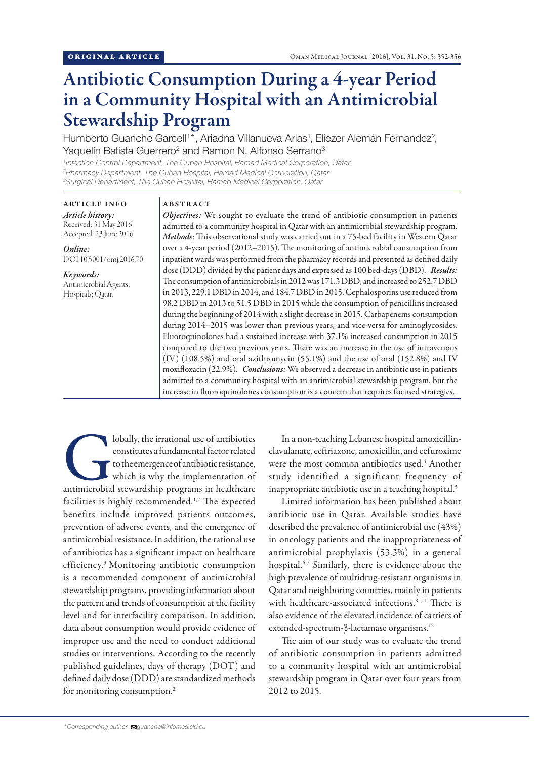# Antibiotic Consumption During a 4-year Period in a Community Hospital with an Antimicrobial Stewardship Program

Humberto Guanche Garcell<sup>1\*</sup>, Ariadna Villanueva Arias<sup>1</sup>, Eliezer Alemán Fernandez<sup>2</sup>, Yaquelín Batista Guerrero<sup>2</sup> and Ramon N. Alfonso Serrano<sup>3</sup>

*1 Infection Control Department, The Cuban Hospital, Hamad Medical Corporation, Qatar 2 Pharmacy Department, The Cuban Hospital, Hamad Medical Corporation, Qatar 3 Surgical Department, The Cuban Hospital, Hamad Medical Corporation, Qatar*

ARTICLE INFO *Article history:* Received: 31 May 2016 Accepted: 23 June 2016

*Online:* DOI 10.5001/omj.2016.70

*Keywords:*  Antimicrobial Agents; Hospitals; Qatar.

## ABSTRACT

*Objectives:* We sought to evaluate the trend of antibiotic consumption in patients admitted to a community hospital in Qatar with an antimicrobial stewardship program. *Methods*: This observational study was carried out in a 75-bed facility in Western Qatar over a 4-year period (2012–2015). The monitoring of antimicrobial consumption from inpatient wards was performed from the pharmacy records and presented as defined daily dose (DDD) divided by the patient days and expressed as 100 bed-days (DBD). *Results:* The consumption of antimicrobials in 2012 was 171.3 DBD, and increased to 252.7 DBD in 2013, 229.1 DBD in 2014, and 184.7 DBD in 2015. Cephalosporins use reduced from 98.2 DBD in 2013 to 51.5 DBD in 2015 while the consumption of penicillins increased during the beginning of 2014 with a slight decrease in 2015. Carbapenems consumption during 2014–2015 was lower than previous years, and vice-versa for aminoglycosides. Fluoroquinolones had a sustained increase with 37.1% increased consumption in 2015 compared to the two previous years. There was an increase in the use of intravenous (IV) (108.5%) and oral azithromycin (55.1%) and the use of oral (152.8%) and IV moxifloxacin (22.9%). *Conclusions:* We observed a decrease in antibiotic use in patients admitted to a community hospital with an antimicrobial stewardship program, but the increase in fluoroquinolones consumption is a concern that requires focused strategies.

Iobally, the irrational use of antibiotics<br>
constitutes a fundamental factor related<br>
to the emergence of antibiotic resistance,<br>
which is why the implementation of<br>
antimicrobial stewardship programs in healthcare constitutes a fundamental factor related to the emergence of antibiotic resistance, which is why the implementation of facilities is highly recommended.<sup>1,2</sup> The expected benefits include improved patients outcomes, prevention of adverse events, and the emergence of antimicrobial resistance. In addition, the rational use of antibiotics has a significant impact on healthcare efficiency.3 Monitoring antibiotic consumption is a recommended component of antimicrobial stewardship programs, providing information about the pattern and trends of consumption at the facility level and for interfacility comparison. In addition, data about consumption would provide evidence of improper use and the need to conduct additional studies or interventions. According to the recently published guidelines, days of therapy (DOT) and defined daily dose (DDD) are standardized methods for monitoring consumption.<sup>2</sup>

In a non-teaching Lebanese hospital amoxicillinclavulanate, ceftriaxone, amoxicillin, and cefuroxime were the most common antibiotics used.<sup>4</sup> Another study identified a significant frequency of inappropriate antibiotic use in a teaching hospital.<sup>5</sup>

Limited information has been published about antibiotic use in Qatar. Available studies have described the prevalence of antimicrobial use (43%) in oncology patients and the inappropriateness of antimicrobial prophylaxis (53.3%) in a general hospital.6,7 Similarly, there is evidence about the high prevalence of multidrug-resistant organisms in Qatar and neighboring countries, mainly in patients with healthcare-associated infections.<sup>8-11</sup> There is also evidence of the elevated incidence of carriers of extended-spectrum-β-lactamase organisms.<sup>12</sup>

The aim of our study was to evaluate the trend of antibiotic consumption in patients admitted to a community hospital with an antimicrobial stewardship program in Qatar over four years from 2012 to 2015.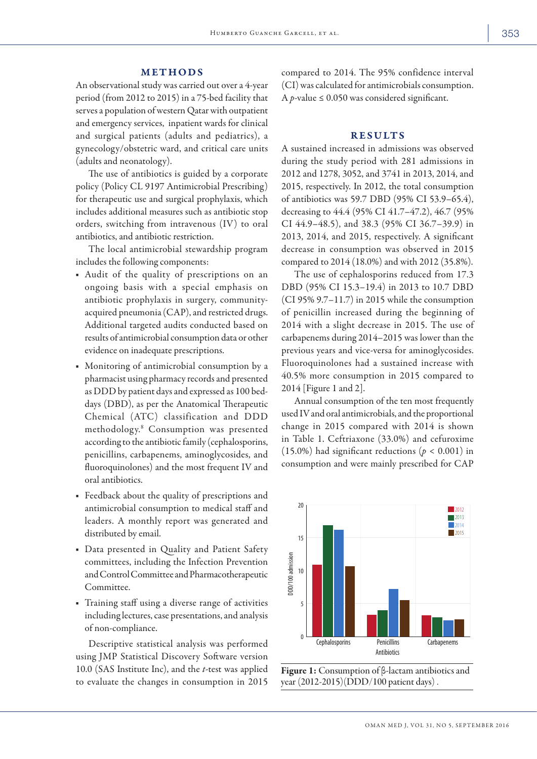## METHODS

An observational study was carried out over a 4-year period (from 2012 to 2015) in a 75-bed facility that serves a population of western Qatar with outpatient and emergency services, inpatient wards for clinical and surgical patients (adults and pediatrics), a gynecology/obstetric ward, and critical care units (adults and neonatology).

The use of antibiotics is guided by a corporate policy (Policy CL 9197 Antimicrobial Prescribing) for therapeutic use and surgical prophylaxis, which includes additional measures such as antibiotic stop orders, switching from intravenous (IV) to oral antibiotics, and antibiotic restriction.

The local antimicrobial stewardship program includes the following components:

- Audit of the quality of prescriptions on an ongoing basis with a special emphasis on antibiotic prophylaxis in surgery, communityacquired pneumonia (CAP), and restricted drugs. Additional targeted audits conducted based on results of antimicrobial consumption data or other evidence on inadequate prescriptions.
- Monitoring of antimicrobial consumption by a pharmacist using pharmacy records and presented as DDD by patient days and expressed as 100 beddays (DBD), as per the Anatomical Therapeutic Chemical (ATC) classification and DDD methodology.<sup>8</sup> Consumption was presented according to the antibiotic family (cephalosporins, penicillins, carbapenems, aminoglycosides, and fluoroquinolones) and the most frequent IV and oral antibiotics.
- Feedback about the quality of prescriptions and antimicrobial consumption to medical staff and leaders. A monthly report was generated and distributed by email.
- Data presented in Quality and Patient Safety committees, including the Infection Prevention and Control Committee and Pharmacotherapeutic Committee.
- Training staff using a diverse range of activities including lectures, case presentations, and analysis of non-compliance.

Descriptive statistical analysis was performed using JMP Statistical Discovery Software version 10.0 (SAS Institute Inc), and the *t*-test was applied to evaluate the changes in consumption in 2015 compared to 2014. The 95% confidence interval (CI) was calculated for antimicrobials consumption. A *p*-value  $\leq$  0.050 was considered significant.

# **RESULTS**

A sustained increased in admissions was observed during the study period with 281 admissions in 2012 and 1278, 3052, and 3741 in 2013, 2014, and 2015, respectively. In 2012, the total consumption of antibiotics was 59.7 DBD (95% CI 53.9–65.4), decreasing to 44.4 (95% CI 41.7–47.2), 46.7 (95% CI 44.9–48.5), and 38.3 (95% CI 36.7–39.9) in 2013, 2014, and 2015, respectively. A significant decrease in consumption was observed in 2015 compared to 2014 (18.0%) and with 2012 (35.8%).

The use of cephalosporins reduced from 17.3 DBD (95% CI 15.3–19.4) in 2013 to 10.7 DBD (CI 95% 9.7–11.7) in 2015 while the consumption of penicillin increased during the beginning of 2014 with a slight decrease in 2015. The use of carbapenems during 2014–2015 was lower than the previous years and vice-versa for aminoglycosides. Fluoroquinolones had a sustained increase with 40.5% more consumption in 2015 compared to 2014 [Figure 1 and 2].

Annual consumption of the ten most frequently used IV and oral antimicrobials, and the proportional change in 2015 compared with 2014 is shown in Table 1. Ceftriaxone (33.0%) and cefuroxime (15.0%) had significant reductions ( $p < 0.001$ ) in consumption and were mainly prescribed for CAP



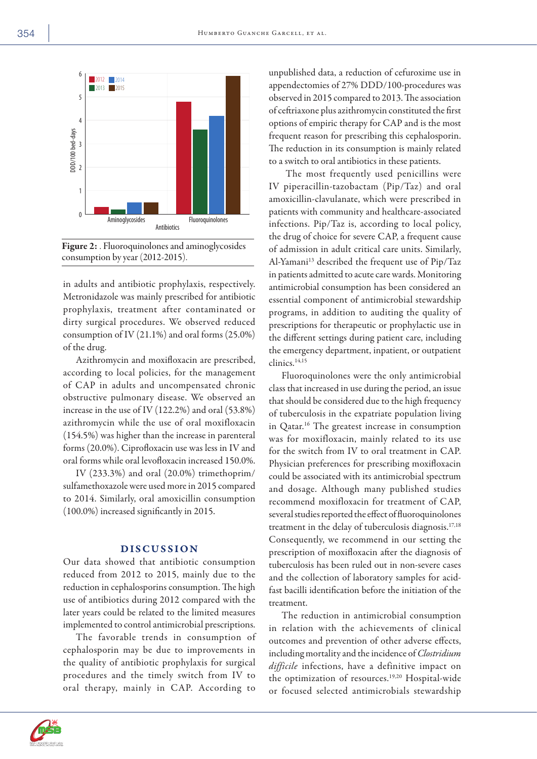

Figure 2: . Fluoroquinolones and aminoglycosides consumption by year (2012-2015).

in adults and antibiotic prophylaxis, respectively. Metronidazole was mainly prescribed for antibiotic prophylaxis, treatment after contaminated or dirty surgical procedures. We observed reduced consumption of IV (21.1%) and oral forms (25.0%) of the drug.

Azithromycin and moxifloxacin are prescribed, according to local policies, for the management of CAP in adults and uncompensated chronic obstructive pulmonary disease. We observed an increase in the use of IV (122.2%) and oral (53.8%) azithromycin while the use of oral moxifloxacin (154.5%) was higher than the increase in parenteral forms (20.0%). Ciprofloxacin use was less in IV and oral forms while oral levofloxacin increased 150.0%.

IV (233.3%) and oral (20.0%) trimethoprim/ sulfamethoxazole were used more in 2015 compared to 2014. Similarly, oral amoxicillin consumption (100.0%) increased significantly in 2015.

## DISCUSSION

Our data showed that antibiotic consumption reduced from 2012 to 2015, mainly due to the reduction in cephalosporins consumption. The high use of antibiotics during 2012 compared with the later years could be related to the limited measures implemented to control antimicrobial prescriptions.

The favorable trends in consumption of cephalosporin may be due to improvements in the quality of antibiotic prophylaxis for surgical procedures and the timely switch from IV to oral therapy, mainly in CAP. According to

unpublished data, a reduction of cefuroxime use in appendectomies of 27% DDD/100-procedures was observed in 2015 compared to 2013. The association of ceftriaxone plus azithromycin constituted the first options of empiric therapy for CAP and is the most frequent reason for prescribing this cephalosporin. The reduction in its consumption is mainly related to a switch to oral antibiotics in these patients.

 The most frequently used penicillins were IV piperacillin-tazobactam (Pip/Taz) and oral amoxicillin-clavulanate, which were prescribed in patients with community and healthcare-associated infections. Pip/Taz is, according to local policy, the drug of choice for severe CAP, a frequent cause of admission in adult critical care units. Similarly, Al-Yamani<sup>13</sup> described the frequent use of Pip/Taz in patients admitted to acute care wards. Monitoring antimicrobial consumption has been considered an essential component of antimicrobial stewardship programs, in addition to auditing the quality of prescriptions for therapeutic or prophylactic use in the different settings during patient care, including the emergency department, inpatient, or outpatient clinics.14,15

Fluoroquinolones were the only antimicrobial class that increased in use during the period, an issue that should be considered due to the high frequency of tuberculosis in the expatriate population living in Qatar.16 The greatest increase in consumption was for moxifloxacin, mainly related to its use for the switch from IV to oral treatment in CAP. Physician preferences for prescribing moxifloxacin could be associated with its antimicrobial spectrum and dosage. Although many published studies recommend moxifloxacin for treatment of CAP, several studies reported the effect of fluoroquinolones treatment in the delay of tuberculosis diagnosis.<sup>17,18</sup> Consequently, we recommend in our setting the prescription of moxifloxacin after the diagnosis of tuberculosis has been ruled out in non-severe cases and the collection of laboratory samples for acidfast bacilli identification before the initiation of the treatment.

The reduction in antimicrobial consumption in relation with the achievements of clinical outcomes and prevention of other adverse effects, including mortality and the incidence of *Clostridium difficile* infections, have a definitive impact on the optimization of resources.19,20 Hospital-wide or focused selected antimicrobials stewardship

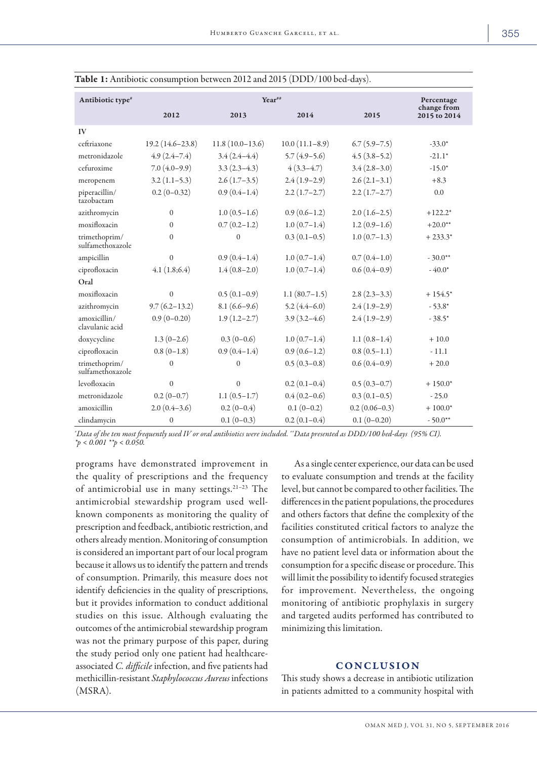| Antibiotic type <sup>#</sup>      | Year <sup>##</sup> |                   |                  | Percentage       |                             |
|-----------------------------------|--------------------|-------------------|------------------|------------------|-----------------------------|
|                                   | 2012               | 2013              | 2014             | 2015             | change from<br>2015 to 2014 |
| IV                                |                    |                   |                  |                  |                             |
| ceftriaxone                       | 19.2 (14.6-23.8)   | $11.8(10.0-13.6)$ | $10.0(11.1-8.9)$ | $6.7(5.9 - 7.5)$ | $-33.0*$                    |
| metronidazole                     | $4.9(2.4 - 7.4)$   | $3.4(2.4-4.4)$    | $5.7(4.9-5.6)$   | $4.5(3.8-5.2)$   | $-21.1*$                    |
| cefuroxime                        | $7.0(4.0-9.9)$     | $3.3(2.3-4.3)$    | $4(3.3-4.7)$     | $3.4(2.8-3.0)$   | $-15.0*$                    |
| meropenem                         | $3.2(1.1-5.3)$     | $2.6(1.7-3.5)$    | $2.4(1.9-2.9)$   | $2.6(2.1-3.1)$   | $+8.3$                      |
| piperacillin/<br>tazobactam       | $0.2(0-0.32)$      | $0.9(0.4-1.4)$    | $2.2(1.7-2.7)$   | $2.2(1.7-2.7)$   | 0.0                         |
| azithromycin                      | $\boldsymbol{0}$   | $1.0(0.5-1.6)$    | $0.9(0.6-1.2)$   | $2.0(1.6-2.5)$   | $+122.2*$                   |
| moxifloxacin                      | $\theta$           | $0.7(0.2-1.2)$    | $1.0(0.7-1.4)$   | $1.2(0.9-1.6)$   | $+20.0**$                   |
| trimethoprim/<br>sulfamethoxazole | $\mathbf{0}$       | $\Omega$          | $0.3(0.1-0.5)$   | $1.0(0.7-1.3)$   | $+233.3*$                   |
| ampicillin                        | $\mathbf{0}$       | $0.9(0.4-1.4)$    | $1.0(0.7-1.4)$   | $0.7(0.4-1.0)$   | $-30.0**$                   |
| ciprofloxacin                     | 4.1(1.8;6.4)       | $1.4(0.8-2.0)$    | $1.0(0.7-1.4)$   | $0.6(0.4-0.9)$   | $-40.0*$                    |
| Oral                              |                    |                   |                  |                  |                             |
| moxifloxacin                      | $\mathbf{0}$       | $0.5(0.1-0.9)$    | $1.1(80.7-1.5)$  | $2.8(2.3-3.3)$   | $+154.5*$                   |
| azithromycin                      | $9.7(6.2 - 13.2)$  | $8.1(6.6-9.6)$    | $5.2(4.4-6.0)$   | $2.4(1.9-2.9)$   | $-53.8*$                    |
| amoxicillin/<br>clavulanic acid   | $0.9(0-0.20)$      | $1.9(1.2 - 2.7)$  | $3.9(3.2 - 4.6)$ | $2.4(1.9-2.9)$   | $-38.5*$                    |
| doxycycline                       | $1.3(0-2.6)$       | $0.3(0-0.6)$      | $1.0(0.7-1.4)$   | $1.1(0.8-1.4)$   | $+10.0$                     |
| ciprofloxacin                     | $0.8(0-1.8)$       | $0.9(0.4-1.4)$    | $0.9(0.6-1.2)$   | $0.8(0.5-1.1)$   | $-11.1$                     |
| trimethoprim/<br>sulfamethoxazole | $\mathbf{0}$       | $\Omega$          | $0.5(0.3-0.8)$   | $0.6(0.4-0.9)$   | $+20.0$                     |
| levofloxacin                      | $\mathbf{0}$       | $\mathbf{0}$      | $0.2(0.1-0.4)$   | $0.5(0.3-0.7)$   | $+150.0*$                   |
| metronidazole                     | $0.2(0-0.7)$       | $1.1(0.5-1.7)$    | $0.4(0.2-0.6)$   | $0.3(0.1-0.5)$   | $-25.0$                     |
| amoxicillin                       | $2.0(0.4-3.6)$     | $0.2(0-0.4)$      | $0.1(0-0.2)$     | $0.2(0.06-0.3)$  | $+100.0*$                   |
| clindamycin                       | $\boldsymbol{0}$   | $0.1(0-0.3)$      | $0.2(0.1-0.4)$   | $0.1(0-0.20)$    | $-50.0**$                   |

Table 1: Antibiotic consumption between 2012 and 2015 (DDD/100 bed-days).

*# Data of the ten most frequently used IV or oral antibiotics were included. ##Data presented as DDD/100 bed-days (95% CI). \*p < 0.001 \*\*p < 0.050.* 

programs have demonstrated improvement in the quality of prescriptions and the frequency of antimicrobial use in many settings.21–23 The antimicrobial stewardship program used wellknown components as monitoring the quality of prescription and feedback, antibiotic restriction, and others already mention. Monitoring of consumption is considered an important part of our local program because it allows us to identify the pattern and trends of consumption. Primarily, this measure does not identify deficiencies in the quality of prescriptions, but it provides information to conduct additional studies on this issue. Although evaluating the outcomes of the antimicrobial stewardship program was not the primary purpose of this paper, during the study period only one patient had healthcareassociated *C. difficile* infection, and five patients had methicillin-resistant *Staphylococcus Aureus* infections (MSRA).

As a single center experience, our data can be used to evaluate consumption and trends at the facility level, but cannot be compared to other facilities. The differences in the patient populations, the procedures and others factors that define the complexity of the facilities constituted critical factors to analyze the consumption of antimicrobials. In addition, we have no patient level data or information about the consumption for a specific disease or procedure. This will limit the possibility to identify focused strategies for improvement. Nevertheless, the ongoing monitoring of antibiotic prophylaxis in surgery and targeted audits performed has contributed to minimizing this limitation.

## **CONCLUSION**

This study shows a decrease in antibiotic utilization in patients admitted to a community hospital with